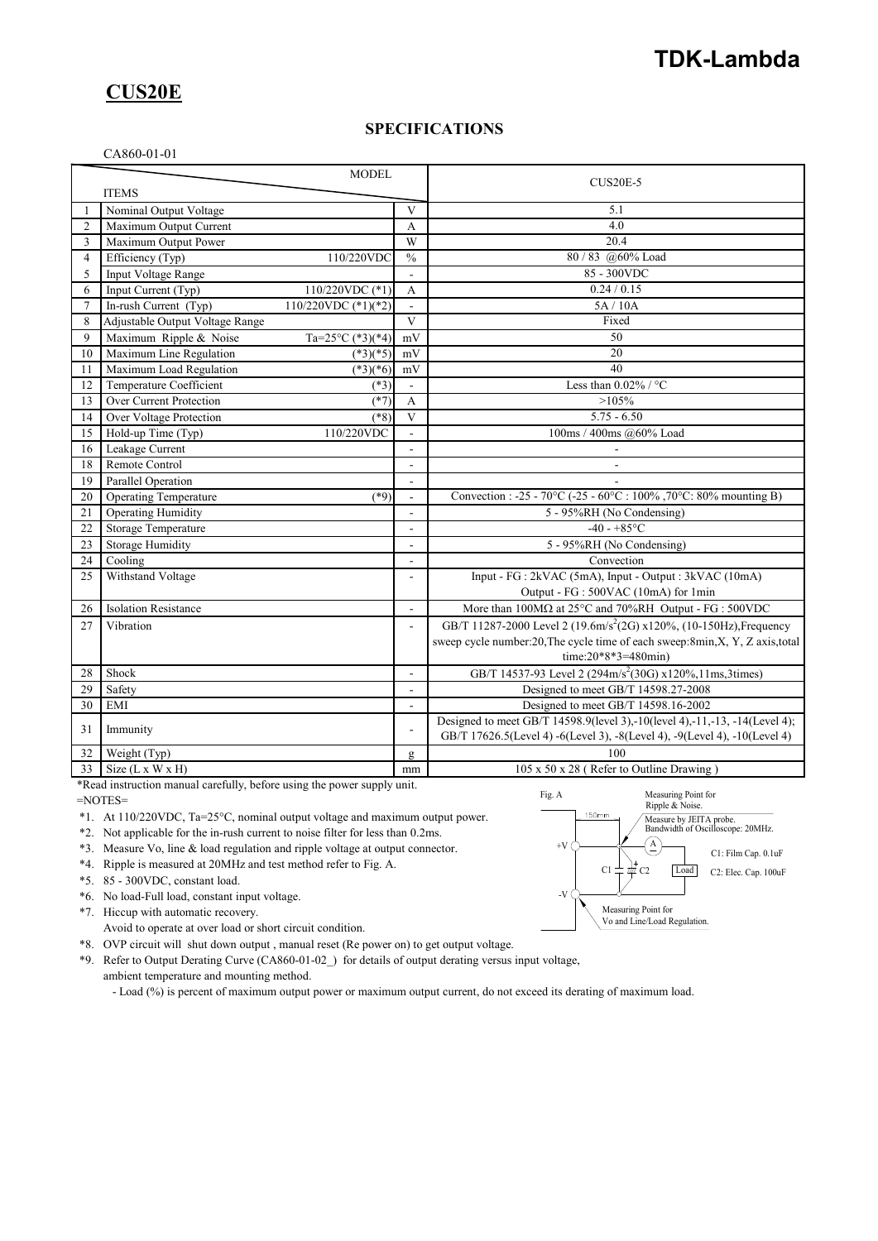# **TDK-Lambda**

## **CUS20E**

### **SPECIFICATIONS**

#### CA860-01-01

| <b>MODEL</b>   |                                 |                       | $CUS20E-5$     |                                                                                 |  |
|----------------|---------------------------------|-----------------------|----------------|---------------------------------------------------------------------------------|--|
|                | <b>ITEMS</b>                    |                       |                |                                                                                 |  |
|                | Nominal Output Voltage          |                       | $\mathbf{V}$   | 5.1                                                                             |  |
| $\overline{2}$ | Maximum Output Current          |                       | A              | 4.0                                                                             |  |
| 3              | Maximum Output Power            |                       | W              | 20.4                                                                            |  |
| 4              | Efficiency (Typ)                | 110/220VDC            | $\frac{0}{0}$  | 80 / 83 @60% Load                                                               |  |
| 5              | Input Voltage Range             |                       | ÷              | 85 - 300VDC                                                                     |  |
| 6              | Input Current (Typ)             | 110/220VDC (*1)       | A              | 0.24 / 0.15                                                                     |  |
| $\overline{7}$ | In-rush Current (Typ)           | 110/220VDC $(*1)(*2)$ |                | 5A/10A                                                                          |  |
| 8              | Adjustable Output Voltage Range |                       | $\mathbf{V}$   | Fixed                                                                           |  |
| 9              | Maximum Ripple & Noise          | Ta=25°C (*3)(*4)      | mV             | 50                                                                              |  |
| 10             | Maximum Line Regulation         | $(*3)(*5)$            | mV             | 20                                                                              |  |
| 11             | Maximum Load Regulation         | $(*3)(*6)$            | mV             | 40                                                                              |  |
| 12             | Temperature Coefficient         | $(*3)$                |                | Less than $0.02\%$ / °C                                                         |  |
| 13             | Over Current Protection         | $(*7)$                | $\overline{A}$ | $>105\%$                                                                        |  |
| 14             | Over Voltage Protection         | $(*8)$                | $\overline{V}$ | $5.75 - 6.50$                                                                   |  |
| 15             | Hold-up Time (Typ)              | 110/220VDC            | L.             | 100ms / 400ms @60% Load                                                         |  |
| 16             | Leakage Current                 |                       |                |                                                                                 |  |
| 18             | Remote Control                  |                       |                | $\overline{\phantom{a}}$                                                        |  |
| 19             | Parallel Operation              |                       | $\overline{a}$ |                                                                                 |  |
| 20             | <b>Operating Temperature</b>    | $(*9)$                | $\overline{a}$ | Convection : -25 - 70°C (-25 - 60°C : 100%, 70°C: 80% mounting B)               |  |
| 21             | <b>Operating Humidity</b>       |                       | ÷,             | 5 - 95%RH (No Condensing)                                                       |  |
| 22             | Storage Temperature             |                       | $\overline{a}$ | $-40 - +85$ °C                                                                  |  |
| 23             | <b>Storage Humidity</b>         |                       | L,             | 5 - 95%RH (No Condensing)                                                       |  |
| 24             | Cooling                         |                       |                | Convection                                                                      |  |
| 25             | Withstand Voltage               |                       | L,             | Input - FG : 2kVAC (5mA), Input - Output : 3kVAC (10mA)                         |  |
|                |                                 |                       |                | Output - FG : 500VAC (10mA) for 1min                                            |  |
| 26             | <b>Isolation Resistance</b>     |                       | ÷              | More than $100M\Omega$ at $25^{\circ}$ C and $70\%$ RH Output - FG : $500$ VDC  |  |
| 27             | Vibration                       |                       |                | GB/T 11287-2000 Level 2 (19.6m/s <sup>2</sup> (2G) x120%, (10-150Hz), Frequency |  |
|                |                                 |                       |                | sweep cycle number:20, The cycle time of each sweep:8min, X, Y, Z axis, total   |  |
|                |                                 |                       |                | time: $20*8*3=480$ min)                                                         |  |
| 28             | Shock                           |                       | ÷.             | GB/T 14537-93 Level 2 (294m/s <sup>2</sup> (30G) x120%,11ms,3times)             |  |
| 29             | Safety                          |                       |                | Designed to meet GB/T 14598.27-2008                                             |  |
| 30             | EMI                             |                       | ÷.             | Designed to meet GB/T 14598.16-2002                                             |  |
|                |                                 |                       |                | Designed to meet GB/T 14598.9(level 3),-10(level 4),-11,-13, -14(Level 4);      |  |
| 31             | Immunity                        |                       | $\blacksquare$ | GB/T 17626.5(Level 4) -6(Level 3), -8(Level 4), -9(Level 4), -10(Level 4)       |  |
| 32             | Weight (Typ)                    |                       | g              | 100                                                                             |  |
| 33             | Size $(L x W x H)$              |                       | mm             | 105 x 50 x 28 (Refer to Outline Drawing)                                        |  |

\*Read instruction manual carefully, before using the power supply unit.

=NOTES=

\*1. At 110/220VDC, Ta=25°C, nominal output voltage and maximum output power.

\*2. Not applicable for the in-rush current to noise filter for less than 0.2ms.

\*3. Measure Vo, line & load regulation and ripple voltage at output connector.

\*4. Ripple is measured at 20MHz and test method refer to Fig. A.

\*5. 85 - 300VDC, constant load.

\*6. No load-Full load, constant input voltage.

\*7. Hiccup with automatic recovery.

Avoid to operate at over load or short circuit condition.

\*8. OVP circuit will shut down output , manual reset (Re power on) to get output voltage.

\*9. Refer to Output Derating Curve (CA860-01-02\_) for details of output derating versus input voltage, ambient temperature and mounting method.

- Load (%) is percent of maximum output power or maximum output current, do not exceed its derating of maximum load.